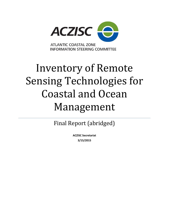

# Inventory of Remote Sensing Technologies for Coastal and Ocean Management

Final Report (abridged)

**ACZISC Secretariat 3/15/2015**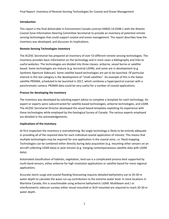# **Introduction**

This report is the final deliverable in Environment Canada contract K4B20-14-0348-1 with the Atlantic Coastal Zone Information Steering Committee Secretariat to provide an inventory of potential remote sensing technologies that could support coastal and ocean management. The report describes how the inventory was developed, and discusses its implications**.**

# **Remote Sensing Technologies Inventory**

The ACZISC Secretariat has prepared an inventory of over 53 different remote sensing technologies. The inventory provides basic information on the technology and in most cases a bibliography and links to useful websites. The technologies are divided into three classes: airborne, vessel borne or satellite based. Some technologies are mature (e.g. terrestrial LiDAR), and some are in development (e.g. Synthetic Aperture Sidescan). Some satellite based technologies are yet to be launched. Of particular interest in this last category is the development of "small satellites". An example of this is the Italian satellite PRISMA, scheduled to be launched in 2017, which combines a hyperspectral scanner with a panchromatic camera. PRISMA data could be very useful for a number of coastal applications.

# **Process for developing the inventory**

The inventory was developed by soliciting expert advice to complete a template for each technology. An expert or experts were subcontracted for satellite based technologies, airborne technologies, and LiDAR. The ACZISC Secretariat Director developed the vessel based templates exploiting his experience with these technologies while employed by the Geological Survey of Canada. The various experts employed are detailed in the acknowledgements.

#### **Implications of the inventory**

At first inspection the inventory is overwhelming. No single technology is likely to be entirely adequate in providing all of the required data for each individual coastal application of interest. This means that multiple technologies may be required for one application in the coastal zone, i.e. flood mapping. Technologies can be combined either directly during data acquisition (e.g. mounting other sensors on an aircraft collecting LiDAR data) or post mission (e.g. merging contemporaneous satellite data with LiDAR data).

Automated classification of habitats, vegetation, land use is a complicated process best supported by multi-band sensors, either airborne for high resolution applications or satellite based for more regional applications.

Accurate storm surge and coastal flooding forecasting requires detailed bathymetry out to 20-30 m water depth to calculate the wave run-up contribution to the extreme water level. In most locations in Maritime Canada, this is unachievable using airborne bathymetric LiDAR. Multibeam and / or interferometric sidescan surveys either vessel mounted or AUV mounted are required to reach 20-30 m water depth.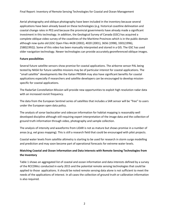Final Report: Inventory of Remote Sensing Technologies for Coastal and Ocean Management

Aerial photography and oblique photography have been included in the inventory because several applications have been already based on these technologies (e.g. historical coastline delineation and coastal change rates in PEI) and because the provincial governments have already made a significant investment in this technology. In addition, the Geological Survey of Canada (GSC) has acquired a complete oblique video survey of the coastlines of the Maritime Provinces which is in the public domain although now quite old (GSC Open Files 4428 (2002), 4020 (2001), 3656 (1998), 3301(1996), 2580(1992)). Some of this video has been manually interpreted and stored in a GIS. The GSC has used older navigation technology. Newer technologies can provide accurately georeferenced oblique images.

# **Future possibilities**

Several future satellite sensors show promise for coastal applications. The airborne sensor PAL being tested by NASA for future satellite missions may be of particular interest for coastal applications. The "small satellite" developments like the Italian PRISMA may also have significant benefits for coastal applications especially if researchers and satellite developers can be encouraged to develop missionspecific for coastal applications.

The RadarSat Constellation Mission will provide new opportunities to exploit high resolution radar data with an increased revisit frequency.

The data from the European Sentinel series of satellites that includes a SAR sensor will be "free" to users under the European open data policy.

The analysis of sonar backscatter and sidescan information for habitat mapping is reasonably well developed discipline although still requiring expert interpretation of the image data and the collection of ground truth information through video, photography and sample collection.

The analysis of intensity and waveforms from LiDAR is not as mature but shows promise in a number of areas (e.g. eel grass mapping). This is still a research field that could be encouraged with pilot projects.

Coastal water levels from satellite altimetry is starting to be used for research in storm surge modelling and prediction and may soon become part of operational forecasts for extreme water levels.

# **Matching Coastal and Ocean Information and Data Interests with Remote Sensing Technologies from the Inventory**

Table 1 shows an aggregated list of coastal and ocean information and data interests defined by a survey of the RCCOMcc conducted in early 2015 and the potential remote sensing technologies that could be applied to those applications. It should be noted remote sensing data alone is not sufficient to meet the needs of the applications of interest. In all cases the collection of ground truth or calibration information is also required.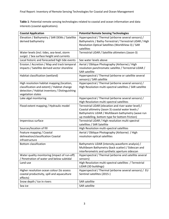**Table 1**: Potential remote sensing technologies related to coastal and ocean information and data interests (coastal applications).

| <b>Coastal Application</b>                                                                                                                                       | <b>Potential Remote Sensing Technologies</b>                                                                                                                                                                        |
|------------------------------------------------------------------------------------------------------------------------------------------------------------------|---------------------------------------------------------------------------------------------------------------------------------------------------------------------------------------------------------------------|
| Elevation / Bathymetry / SAR DEMs / Satellite<br>derived bathymetry                                                                                              | Hyperspectral / Thermal (airborne several sensors) /<br>Bathymetric / Bathy-Terrestrial / Terrestrial LiDAR / High<br>Resolution Optical Satellites (WorldView-3) / SAR<br>satellites                               |
| Water levels (incl. tides, sea-level, storm<br>surge) / Sea surface height and currents                                                                          | Terrestrial LiDAR / Satellite altimeters (Jason-3)                                                                                                                                                                  |
| Local historic and forecasted high tide events                                                                                                                   | See water levels above                                                                                                                                                                                              |
| Erosion / Accretion / Map and track temporal<br>impacts / Satellite derived vector shoreline                                                                     | Aerial / Oblique Photography (Airborne) / High<br>resolution panchromatic satellite / Terrestrial LiDAR /<br><b>SAR satellite</b>                                                                                   |
| Habitat classification (wetland)                                                                                                                                 | Hyperspectral / Thermal (airborne or satellite several<br>sensors) / SAR satellite                                                                                                                                  |
| High resolution habitat mapping (location,<br>classification and extent) / Habitat change<br>detection / Habitat inventory / Distinguishing<br>vegetation states | Hyperspectral / Thermal (airborne several sensors) /<br>High Resolution multi-spectral satellites / SAR satellite                                                                                                   |
| Lake algal monitoring                                                                                                                                            | Hyperspectral / Thermal (airborne several sensors) /<br>High Resolution multi-spectral satellites                                                                                                                   |
| Flood extent mapping / Hydraulic model                                                                                                                           | Terrestrial LiDAR (elevation and river water level) /<br>Coastal altimetry (Jason 3) coastal water levels /<br>Bathymetric LiDAR / Multibeam bathymetry (wave run<br>up modelling, bottom type for bottom friction) |
| Impervious surface                                                                                                                                               | Terrestrial LiDAR / High resolution multi-spectral<br>satellites / SAR Satellite                                                                                                                                    |
| Sources/location of fill                                                                                                                                         | High Resolution multi-spectral satellites                                                                                                                                                                           |
| Feature mapping / Coastal<br>delineation/classification Coastal<br>infrastructure                                                                                | Aerial / Oblique Photography (Airborne) / High<br>resolution optical satellites                                                                                                                                     |
| <b>Bottom classification</b>                                                                                                                                     | Bathymetric LiDAR (intensity, waveform analysis) /<br>Multibeam Bathymetry (back scatter) / Sidescan and<br>interferometric and synthetic aperture sidescan                                                         |
| Water quality monitoring (impact of run-off)<br>/ Penetration of water and below subtidal                                                                        | Hyperspectral / Thermal (airborne and satellite several<br>sensors)                                                                                                                                                 |
| Land-use                                                                                                                                                         | High Resolution multi-spectral satellites / Terrestrial<br>LiDAR (3D buildings)                                                                                                                                     |
| Higher resolution ocean colour (to assess<br>coastal productivity, spill and aquaculture<br>effects)                                                             | Hyperspectral / Thermal (airborne several sensors) / EU<br>Sentinel satellites (2015-)                                                                                                                              |
| Snow depth / Ice in rivers                                                                                                                                       | <b>SAR satellite</b>                                                                                                                                                                                                |
| Sea ice                                                                                                                                                          | <b>SAR satellite</b>                                                                                                                                                                                                |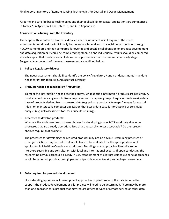Airborne and satellite based technologies and their applicability to coastal applications are summarized in Tables 2, in Appendix 1 and Tables 3, and 4 in Appendix 2.

#### **Considerations Arising From the Inventory**

The scope of this contract is limited: a detailed needs assessment is still required. The needs assessments could be done individually by the various federal and provincial departments or through RCCOMcc members and then compared for overlap and possible collaboration on product development and data acquisition or it could be completed together. If done individually, results should be compared at each step so that overlaps and collaborative opportunities could be realized at an early stage. Suggested components of the needs assessment are outlined below:

#### **1. Policy / Regulatory drivers:**

The needs assessment should first identify the policy / regulatory / and / or departmental mandate needs for information. (e.g. Aquaculture Strategy)

#### **2. Products needed to meet policy / regulation:**

To meet the information needs described above, what specific information products are required? A product could be a single entity like a map or series of maps (e.g. map of aquaculture leases), a data base of products derived from processed data (e.g. primary productivity maps / images for coastal inlets) or an interactive computer application that uses a data base for forecasting or sensitivity analysis (e.g. risk assessment tool for aquaculture siting).

#### **3. Processes to develop products**:

What are the evidence-based process choices for developing products? Should they always be processes that are already operationalized or are research choices acceptable? Do the research choices require pilot projects?

The processes for developing the required products may not be obvious. Examining practises of other jurisdictions may be useful but would have to be evaluated for the appropriateness of application in Maritime Canada's coastal zones. Deciding on an approach will require some literature searching and consultation with local and international experts. If upon conducting the research no obvious process is already in use, establishment of pilot projects to examine approaches would be required, possibly through partnerships with local university and college researchers.

#### **4. Data required for product development:**

Upon deciding upon product development approaches or pilot projects, the data required to support the product development or pilot project will need to be determined. There may be more than one approach for a product that may require different types of remote sensed or other data.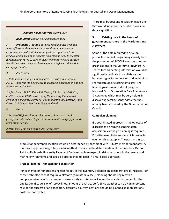#### *Example Needs Analysis Work Flow:*

*1. Regulation: coastal development set-back* 

*2. Products: 1. Spatial data base and publicly available maps of historical shoreline change and rates of erosion or accretion on a scale suitable to support the regulation. This product would need to be updated on a regular basis to monitor for changes in rates. 2. Erosion sensitivity map (needed because the historic record may not be adequate to define erosion risk in a changing climate)*

#### *3. Processes:*

*1. PEI shoreline change mapping after (Webster and Brydon, 2012) – important to be consistent in shoreline delineation and use tide corrected images.*

*2. After Shaw 1998 (J. Shaw, R.B. Taylor, D.L. Forbes, M.-H. Ruz, and S. Solomon. 1998. Sensitivity of the Coasts of Canada to Sealevel Rise. Geological Survey of Canada Bulletin 505. Ottawa.) and Catto 2012 Coastal Erosion in Newfoundland.*

*4. Data:*

*1. Series of High resolution colour aerial photos accurately georeferenced, could be high resolution satellite imagery for more recent time periods*

*2. Data for all the sensitivity index parameters*

There may be cost and resolution trade-offs that would influence the final decisions on data acquisition.

# **5. Existing data in the hands of government partners in the Maritimes and elsewhere:**

Some of the data required to develop products or a pilot project may already be in the possession of RCCOM agencies or other organizations in the Maritime Provinces. A search for this existing information would be significantly facilitated by collaboration between agencies to develop and maintain a shared catalog of existing data sets. The federal government is developing the National Earth Observation Data Framework & Catalogue which may be very helpful in discovering satellite sensor data that has already been acquired by the Government of Canada.

# **Campaign planning**

If a coordinated approach is the objective of discussions on remote sensing, data acquisition, campaign planning is required. Priorities need to be set on which products over which geography. The partners in each

product or geographic location would be determined by alignment with RCCOM member mandates. A risk based approach might be a useful method to assist in the determination of the priorities. Dr. Ron Pelot at Dalhousie University Faculty of Engineering is an expert in risk assessment in the coastal and marine environments and could be approached to assist in a risk based approach.

#### **Project Planning – for each data acquisition**

For each type of remote sensing technology in the inventory a section on considerations is included. For those technologies that require a platform (aircraft or vessel), planning should begin with a comprehensive desk top exercise to ensure data acquisition will meet the standards needed for the application (i.e. density of survey lines, amount of overlap, etc.). Since weather can play an important role on the success of an expedition, alternative survey locations should be planned so mobilizations costs are not wasted.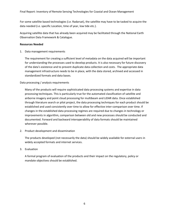For some satellite based technologies (i.e. Radarsat), the satellite may have to be tasked to acquire the data needed (i.e. specific Location, time of year, low tide etc.).

Acquiring satellite data that has already been acquired may be facilitated through the National Earth Observation Data Framework & Catalogue.

# **Resources Needed**

1. Data management requirements

The requirement for creating a sufficient level of metadata on the data acquired will be important for understanding the processes used to develop products. It is also necessary for future discovery of the data's existence and to prevent duplicate data collection and costs. The appropriate data management infrastructure needs to be in place, with the data stored, archived and accessed in standardized formats and data bases.

# Data processing / analysis requirements

Many of the products will require sophisticated data processing systems and expertise in data processing techniques. This is particularly true for the automated classification of satellite and airborne imagery and point cloud processing for multibeam and LiDAR data. Once established through literature search or pilot project, the data processing techniques for each product should be established and used consistently over time to allow for effective inter-comparison over time. If changes in the established data processing regimes are required due to changes in technology or improvements in algorithm, comparison between old and new processes should be conducted and documented. Forward and backward interoperability of data formats should be maintained wherever possible.

2. Product development and dissemination

The products developed (not necessarily the data) should be widely available for external users in widely accepted formats and internet services.

# 3. Evaluation

A formal program of evaluation of the products and their impact on the regulatory, policy or mandate objectives should be established.